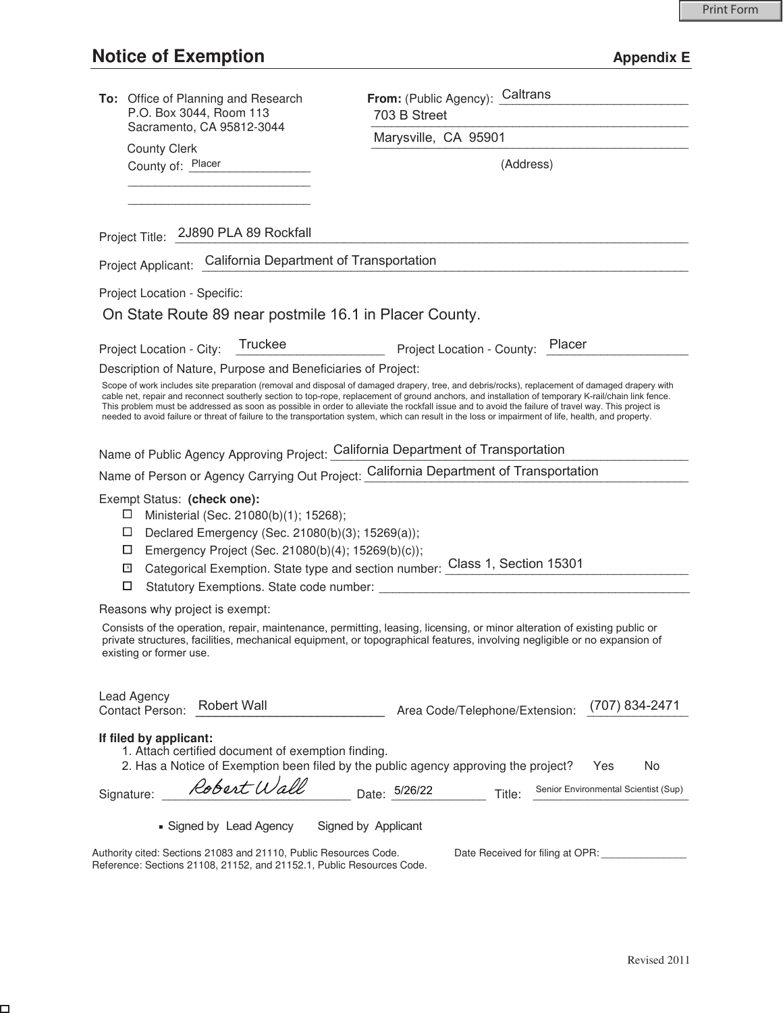$\Box$ 

| To: Office of Planning and Research<br>P.O. Box 3044, Room 113                                                                                                                                                           | From: (Public Agency): Caltrans<br>703 B Street                                                                                                                                                                                                                                                                                                                                                                                                                                                                                                                                                                       |
|--------------------------------------------------------------------------------------------------------------------------------------------------------------------------------------------------------------------------|-----------------------------------------------------------------------------------------------------------------------------------------------------------------------------------------------------------------------------------------------------------------------------------------------------------------------------------------------------------------------------------------------------------------------------------------------------------------------------------------------------------------------------------------------------------------------------------------------------------------------|
| Sacramento, CA 95812-3044                                                                                                                                                                                                | Marysville, CA 95901                                                                                                                                                                                                                                                                                                                                                                                                                                                                                                                                                                                                  |
| <b>County Clerk</b><br>County of: Placer                                                                                                                                                                                 | (Address)                                                                                                                                                                                                                                                                                                                                                                                                                                                                                                                                                                                                             |
|                                                                                                                                                                                                                          |                                                                                                                                                                                                                                                                                                                                                                                                                                                                                                                                                                                                                       |
| Project Title: 2J890 PLA 89 Rockfall                                                                                                                                                                                     |                                                                                                                                                                                                                                                                                                                                                                                                                                                                                                                                                                                                                       |
| Project Applicant: California Department of Transportation                                                                                                                                                               |                                                                                                                                                                                                                                                                                                                                                                                                                                                                                                                                                                                                                       |
| Project Location - Specific:                                                                                                                                                                                             |                                                                                                                                                                                                                                                                                                                                                                                                                                                                                                                                                                                                                       |
| On State Route 89 near postmile 16.1 in Placer County.                                                                                                                                                                   |                                                                                                                                                                                                                                                                                                                                                                                                                                                                                                                                                                                                                       |
| <b>Truckee</b><br>Project Location - City:                                                                                                                                                                               | Placer<br>Project Location - County:                                                                                                                                                                                                                                                                                                                                                                                                                                                                                                                                                                                  |
| Description of Nature, Purpose and Beneficiaries of Project:                                                                                                                                                             |                                                                                                                                                                                                                                                                                                                                                                                                                                                                                                                                                                                                                       |
|                                                                                                                                                                                                                          | Scope of work includes site preparation (removal and disposal of damaged drapery, tree, and debris/rocks), replacement of damaged drapery with<br>cable net, repair and reconnect southerly section to top-rope, replacement of ground anchors, and installation of temporary K-rail/chain link fence.<br>This problem must be addressed as soon as possible in order to alleviate the rockfall issue and to avoid the failure of travel way. This project is<br>needed to avoid failure or threat of failure to the transportation system, which can result in the loss or impairment of life, health, and property. |
| Name of Public Agency Approving Project: California Department of Transportation                                                                                                                                         |                                                                                                                                                                                                                                                                                                                                                                                                                                                                                                                                                                                                                       |
| Name of Person or Agency Carrying Out Project: California Department of Transportation                                                                                                                                   |                                                                                                                                                                                                                                                                                                                                                                                                                                                                                                                                                                                                                       |
| Exempt Status: (check one):<br>Ministerial (Sec. 21080(b)(1); 15268);<br>ப<br>$\Box$<br>Declared Emergency (Sec. 21080(b)(3); 15269(a));<br>□<br>Emergency Project (Sec. 21080(b)(4); 15269(b)(c));<br>$\mathbf{x}$<br>□ | Categorical Exemption. State type and section number: Class 1, Section 15301                                                                                                                                                                                                                                                                                                                                                                                                                                                                                                                                          |
| Reasons why project is exempt:                                                                                                                                                                                           |                                                                                                                                                                                                                                                                                                                                                                                                                                                                                                                                                                                                                       |
| existing or former use.                                                                                                                                                                                                  | Consists of the operation, repair, maintenance, permitting, leasing, licensing, or minor alteration of existing public or<br>private structures, facilities, mechanical equipment, or topographical features, involving negligible or no expansion of                                                                                                                                                                                                                                                                                                                                                                 |
| Lead Agency<br><b>Robert Wall</b><br>Contact Person:                                                                                                                                                                     | (707) 834-2471<br>Area Code/Telephone/Extension:                                                                                                                                                                                                                                                                                                                                                                                                                                                                                                                                                                      |
| If filed by applicant:<br>1. Attach certified document of exemption finding.<br>2. Has a Notice of Exemption been filed by the public agency approving the project?                                                      | Yes<br>No                                                                                                                                                                                                                                                                                                                                                                                                                                                                                                                                                                                                             |
| Robert Wall<br>Signature:                                                                                                                                                                                                | Senior Environmental Scientist (Sup)<br>Date: 5/26/22<br>Title:                                                                                                                                                                                                                                                                                                                                                                                                                                                                                                                                                       |
| Signed by Lead Agency                                                                                                                                                                                                    | Signed by Applicant                                                                                                                                                                                                                                                                                                                                                                                                                                                                                                                                                                                                   |
| Authority cited: Sections 21083 and 21110, Public Resources Code.<br>Reference: Sections 21108, 21152, and 21152.1, Public Resources Code.                                                                               | Date Received for filing at OPR:                                                                                                                                                                                                                                                                                                                                                                                                                                                                                                                                                                                      |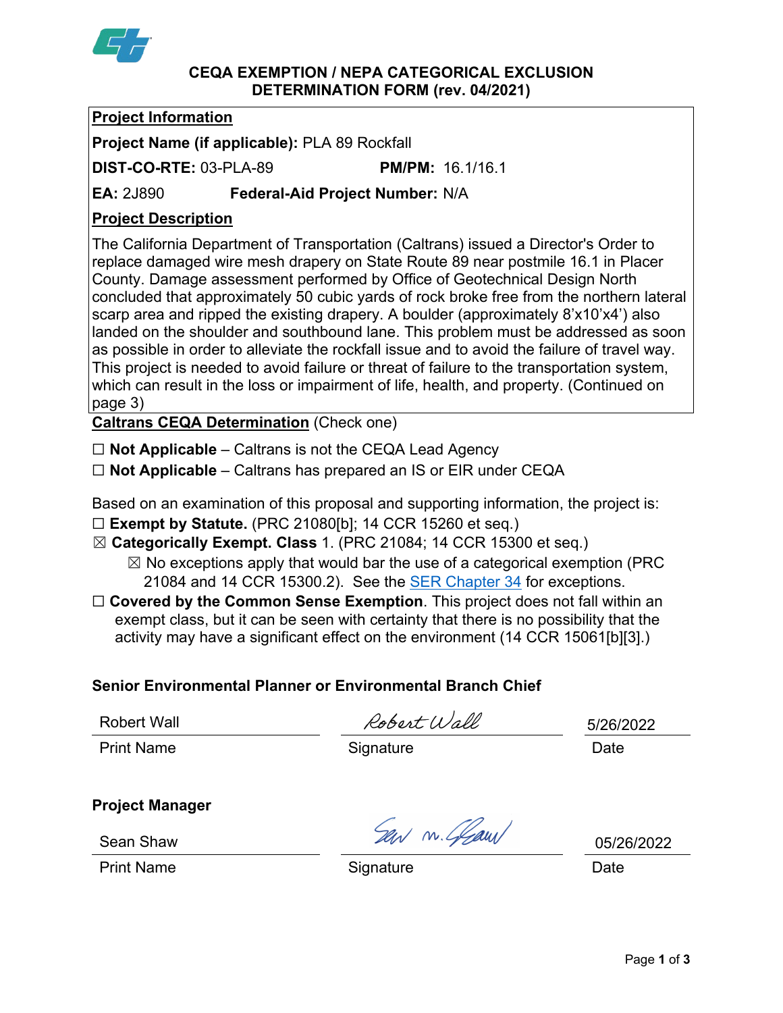

#### **CEQA EXEMPTION / NEPA CATEGORICAL EXCLUSION DETERMINATION FORM (rev. 04/2021)**

# **Project Information**

**Project Name (if applicable):** PLA 89 Rockfall

**DIST-CO-RTE:** 03-PLA-89 **PM/PM:** 16.1/16.1

**EA:** 2J890 **Federal-Aid Project Number:** N/A

# **Project Description**

The California Department of Transportation (Caltrans) issued a Director's Order to replace damaged wire mesh drapery on State Route 89 near postmile 16.1 in Placer County. Damage assessment performed by Office of Geotechnical Design North concluded that approximately 50 cubic yards of rock broke free from the northern lateral scarp area and ripped the existing drapery. A boulder (approximately 8'x10'x4') also landed on the shoulder and southbound lane. This problem must be addressed as soon as possible in order to alleviate the rockfall issue and to avoid the failure of travel way. This project is needed to avoid failure or threat of failure to the transportation system, which can result in the loss or impairment of life, health, and property. (Continued on page 3)

**Caltrans CEQA Determination** (Check one)

☐ **Not Applicable** – Caltrans is not the CEQA Lead Agency

☐ **Not Applicable** – Caltrans has prepared an IS or EIR under CEQA

Based on an examination of this proposal and supporting information, the project is: ☐ **Exempt by Statute.** (PRC 21080[b]; 14 CCR 15260 et seq.)

☒ **Categorically Exempt. Class** 1. (PRC 21084; 14 CCR 15300 et seq.)

 $\boxtimes$  No exceptions apply that would bar the use of a categorical exemption (PRC 21084 and 14 CCR 15300.2). See the **SER Chapter 34** for exceptions.

□ **Covered by the Common Sense Exemption**. This project does not fall within an exempt class, but it can be seen with certainty that there is no possibility that the activity may have a significant effect on the environment (14 CCR 15061[b][3].)

# **Senior Environmental Planner or Environmental Branch Chief**

Robert Wall

Robert Wall

5/26/2022

Print Name **Signature** Signature Date

**Project Manager**

San m. Glaun

05/26/2022

Print Name **Signature Construction Construction** Date

Sean Shaw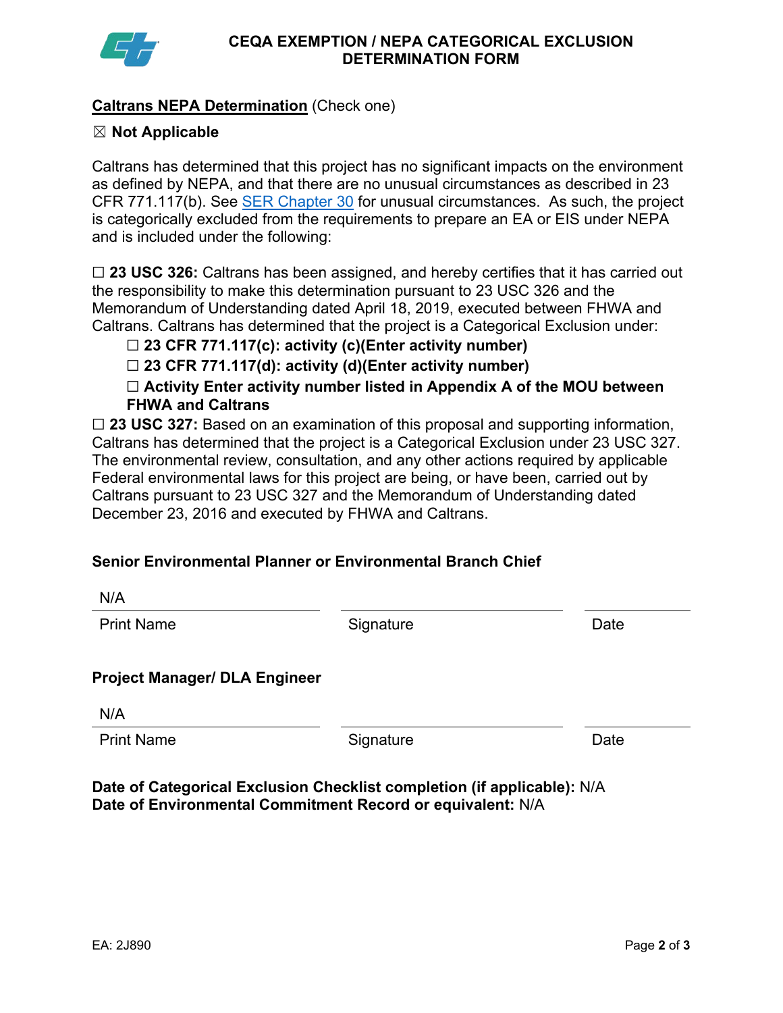

## **Caltrans NEPA Determination** (Check one)

## ☒ **Not Applicable**

Caltrans has determined that this project has no significant impacts on the environment as defined by NEPA, and that there are no unusual circumstances as described in 23 CFR 771.117(b). See **SER Chapter 30** for unusual circumstances. As such, the project is categorically excluded from the requirements to prepare an EA or EIS under NEPA and is included under the following:

☐ **23 USC 326:** Caltrans has been assigned, and hereby certifies that it has carried out the responsibility to make this determination pursuant to 23 USC 326 and the Memorandum of Understanding dated April 18, 2019, executed between FHWA and Caltrans. Caltrans has determined that the project is a Categorical Exclusion under:

☐ **23 CFR 771.117(c): activity (c)(Enter activity number)**

☐ **23 CFR 771.117(d): activity (d)(Enter activity number)**

☐ **Activity Enter activity number listed in Appendix A of the MOU between FHWA and Caltrans**

□ 23 USC 327: Based on an examination of this proposal and supporting information, Caltrans has determined that the project is a Categorical Exclusion under 23 USC 327. The environmental review, consultation, and any other actions required by applicable Federal environmental laws for this project are being, or have been, carried out by Caltrans pursuant to 23 USC 327 and the Memorandum of Understanding dated December 23, 2016 and executed by FHWA and Caltrans.

# **Senior Environmental Planner or Environmental Branch Chief**

| N/A                                  |           |      |
|--------------------------------------|-----------|------|
| <b>Print Name</b>                    | Signature | Date |
|                                      |           |      |
| <b>Project Manager/ DLA Engineer</b> |           |      |
| N/A                                  |           |      |
| <b>Print Name</b>                    | Signature | Date |
|                                      |           |      |

**Date of Categorical Exclusion Checklist completion (if applicable):** N/A **Date of Environmental Commitment Record or equivalent:** N/A